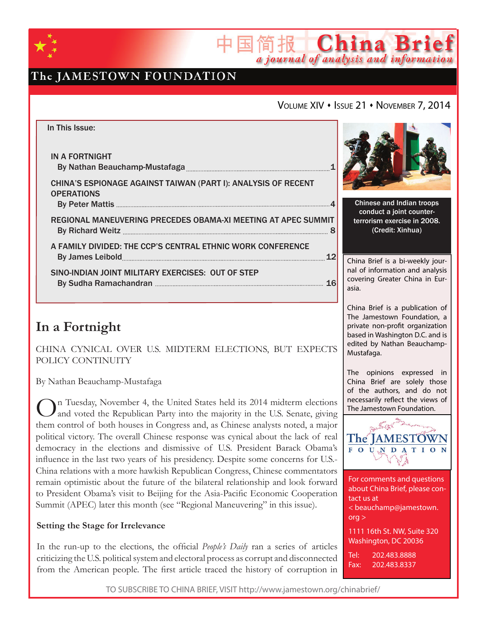

# The JAMESTOWN FOUNDATION

## VOLUME XIV • ISSUE 21 • NOVEMBER 7, 2014

简报 China Brief

a journal of analysis and information



# **In a Fortnight**

CHINA CYNICAL OVER U.S. MIDTERM ELECTIONS, BUT EXPECTS POLICY CONTINUITY

By Nathan Beauchamp-Mustafaga

On Tuesday, November 4, the United States held its 2014 midterm elections and voted the Republican Party into the majority in the U.S. Senate, giving them control of both houses in Congress and, as Chinese analysts noted, a major political victory. The overall Chinese response was cynical about the lack of real democracy in the elections and dismissive of U.S. President Barack Obama's influence in the last two years of his presidency. Despite some concerns for U.S.- China relations with a more hawkish Republican Congress, Chinese commentators remain optimistic about the future of the bilateral relationship and look forward to President Obama's visit to Beijing for the Asia-Pacific Economic Cooperation Summit (APEC) later this month (see "Regional Maneuvering" in this issue).

### **Setting the Stage for Irrelevance**

In the run-up to the elections, the official *People's Daily* ran a series of articles criticizing the U.S. political system and electoral process as corrupt and disconnected from the American people. The first article traced the history of corruption in



The Jamestown Foundation, a private non-profit organization based in Washington D.C. and is edited by Nathan Beauchamp-

The opinions expressed in China Brief are solely those of the authors, and do not necessarily reflect the views of

Mustafaga.

For comments and questions about China Brief, please contact us at < beauchamp@jamestown. org > 1111 16th St. NW, Suite 320 Washington, DC 20036

Tel: 202.483.8888 Fax: 202.483.8337

TO SUBSCRIBE TO CHINA BRIEF, VISIT http://www.jamestown.org/chinabrief/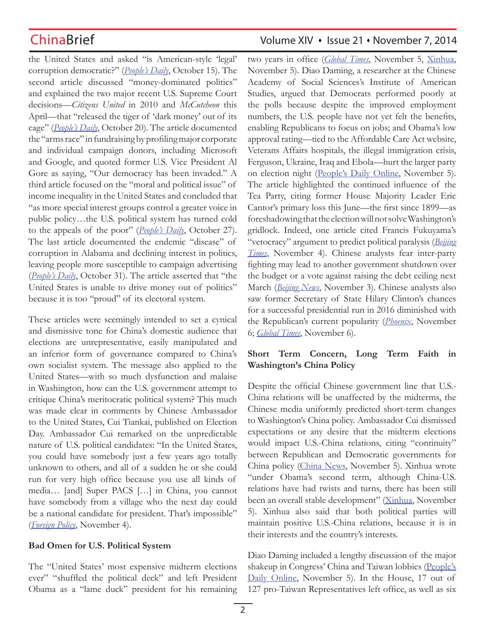the United States and asked "is American-style 'legal' corruption democratic?" (*People's Daily*, October 15). The second article discussed "money-dominated politics" and explained the two major recent U.S. Supreme Court decisions—*Citizens United* in 2010 and *McCutcheon* this April—that "released the tiger of 'dark money' out of its cage" (*People's Daily*, October 20). The article documented the "arms race" in fundraising by profiling major corporate and individual campaign donors, including Microsoft and Google, and quoted former U.S. Vice President Al Gore as saying, "Our democracy has been invaded." A third article focused on the "moral and political issue" of income inequality in the United States and concluded that "as more special interest groups control a greater voice in public policy…the U.S. political system has turned cold to the appeals of the poor" (*People's Daily*, October 27). The last article documented the endemic "disease" of corruption in Alabama and declining interest in politics, leaving people more susceptible to campaign advertising (*People's Daily*, October 31). The article asserted that "the United States is unable to drive money out of politics" because it is too "proud" of its electoral system.

These articles were seemingly intended to set a cynical and dismissive tone for China's domestic audience that elections are unrepresentative, easily manipulated and an inferior form of governance compared to China's own socialist system. The message also applied to the United States—with so much dysfunction and malaise in Washington, how can the U.S. government attempt to critique China's meritocratic political system? This much was made clear in comments by Chinese Ambassador to the United States, Cui Tiankai, published on Election Day. Ambassador Cui remarked on the unpredictable nature of U.S. political candidates: "In the United States, you could have somebody just a few years ago totally unknown to others, and all of a sudden he or she could run for very high office because you use all kinds of media… [and] Super PACS […] in China, you cannot have somebody from a village who the next day could be a national candidate for president. That's impossible" (*Foreign Policy*, November 4).

## **Bad Omen for U.S. Political System**

The "United States' most expensive midterm elections ever" "shuffled the political deck" and left President Obama as a "lame duck" president for his remaining

# ChinaBrief **ChinaBrief** Volume XIV • Issue 21 • November 7, 2014

two years in office (*Global Times*, November 5, Xinhua, November 5). Diao Daming, a researcher at the Chinese Academy of Social Sciences's Institute of American Studies, argued that Democrats performed poorly at the polls because despite the improved employment numbers, the U.S. people have not yet felt the benefits, enabling Republicans to focus on jobs; and Obama's low approval rating—tied to the Affordable Care Act website, Veterans Affairs hospitals, the illegal immigration crisis, Ferguson, Ukraine, Iraq and Ebola—hurt the larger party on election night (People's Daily Online, November 5). The article highlighted the continued influence of the Tea Party, citing former House Majority Leader Eric Cantor's primary loss this June—the first since 1899—as foreshadowing that the election will not solve Washington's gridlock. Indeed, one article cited Francis Fukuyama's "vetocracy" argument to predict political paralysis (*Beijing Times*, November 4). Chinese analysts fear inter-party fighting may lead to another government shutdown over the budget or a vote against raising the debt ceiling next March (*Beijing News*, November 3). Chinese analysts also saw former Secretary of State Hilary Clinton's chances for a successful presidential run in 2016 diminished with the Republican's current popularity (*Phoenix*, November 6; *Global Times*, November 6).

## **Short Term Concern, Long Term Faith in Washington's China Policy**

Despite the official Chinese government line that U.S.- China relations will be unaffected by the midterms, the Chinese media uniformly predicted short-term changes to Washington's China policy. Ambassador Cui dismissed expectations or any desire that the midterm elections would impact U.S.-China relations, citing "continuity" between Republican and Democratic governments for China policy (China News, November 5). Xinhua wrote "under Obama's second term, although China-U.S. relations have had twists and turns, there has been still been an overall stable development" (Xinhua, November 5). Xinhua also said that both political parties will maintain positive U.S.-China relations, because it is in their interests and the country's interests.

Diao Daming included a lengthy discussion of the major shakeup in Congress' China and Taiwan lobbies (People's Daily Online, November 5). In the House, 17 out of 127 pro-Taiwan Representatives left office, as well as six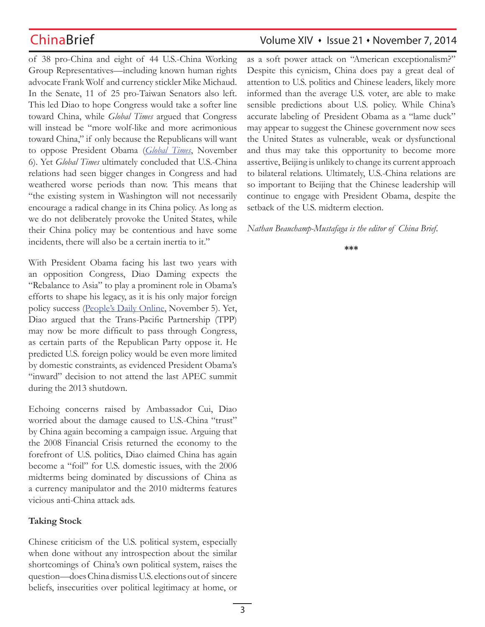of 38 pro-China and eight of 44 U.S.-China Working Group Representatives—including known human rights advocate Frank Wolf and currency stickler Mike Michaud. In the Senate, 11 of 25 pro-Taiwan Senators also left. This led Diao to hope Congress would take a softer line toward China, while *Global Times* argued that Congress will instead be "more wolf-like and more acrimonious toward China," if only because the Republicans will want to oppose President Obama (*Global Times*, November 6). Yet *Global Times* ultimately concluded that U.S.-China relations had seen bigger changes in Congress and had weathered worse periods than now. This means that "the existing system in Washington will not necessarily encourage a radical change in its China policy. As long as we do not deliberately provoke the United States, while their China policy may be contentious and have some incidents, there will also be a certain inertia to it."

With President Obama facing his last two years with an opposition Congress, Diao Daming expects the "Rebalance to Asia" to play a prominent role in Obama's efforts to shape his legacy, as it is his only major foreign policy success (People's Daily Online, November 5). Yet, Diao argued that the Trans-Pacific Partnership (TPP) may now be more difficult to pass through Congress, as certain parts of the Republican Party oppose it. He predicted U.S. foreign policy would be even more limited by domestic constraints, as evidenced President Obama's "inward" decision to not attend the last APEC summit during the 2013 shutdown.

Echoing concerns raised by Ambassador Cui, Diao worried about the damage caused to U.S.-China "trust" by China again becoming a campaign issue. Arguing that the 2008 Financial Crisis returned the economy to the forefront of U.S. politics, Diao claimed China has again become a "foil" for U.S. domestic issues, with the 2006 midterms being dominated by discussions of China as a currency manipulator and the 2010 midterms features vicious anti-China attack ads.

## **Taking Stock**

Chinese criticism of the U.S. political system, especially when done without any introspection about the similar shortcomings of China's own political system, raises the question—does China dismiss U.S. elections out of sincere beliefs, insecurities over political legitimacy at home, or

# ChinaBrief **ChinaBrief** Volume XIV • Issue 21 • November 7, 2014

as a soft power attack on "American exceptionalism?" Despite this cynicism, China does pay a great deal of attention to U.S. politics and Chinese leaders, likely more informed than the average U.S. voter, are able to make sensible predictions about U.S. policy. While China's accurate labeling of President Obama as a "lame duck" may appear to suggest the Chinese government now sees the United States as vulnerable, weak or dysfunctional and thus may take this opportunity to become more assertive, Beijing is unlikely to change its current approach to bilateral relations. Ultimately, U.S.-China relations are so important to Beijing that the Chinese leadership will continue to engage with President Obama, despite the setback of the U.S. midterm election.

*Nathan Beauchamp-Mustafaga is the editor of China Brief.*

### **\*\*\***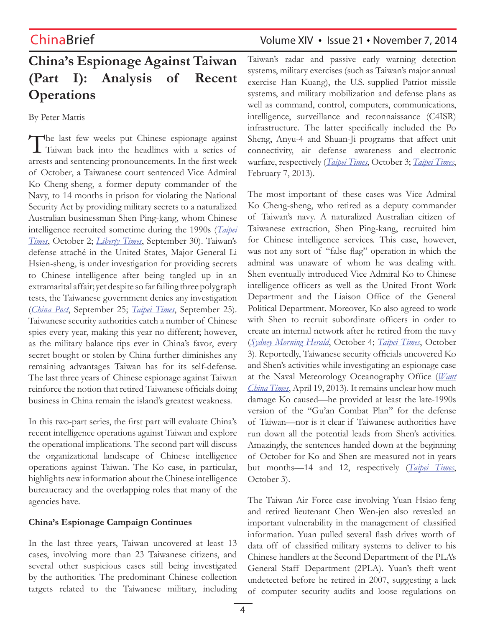# **China's Espionage Against Taiwan (Part I): Analysis of Recent Operations**

By Peter Mattis

The last few weeks put Chinese espionage against Taiwan back into the headlines with a series of arrests and sentencing pronouncements. In the first week of October, a Taiwanese court sentenced Vice Admiral Ko Cheng-sheng, a former deputy commander of the Navy, to 14 months in prison for violating the National Security Act by providing military secrets to a naturalized Australian businessman Shen Ping-kang, whom Chinese intelligence recruited sometime during the 1990s (*Taipei Times*, October 2; *Liberty Times*, September 30). Taiwan's defense attaché in the United States, Major General Li Hsien-sheng, is under investigation for providing secrets to Chinese intelligence after being tangled up in an extramarital affair; yet despite so far failing three polygraph tests, the Taiwanese government denies any investigation (*China Post*, September 25; *Taipei Times*, September 25). Taiwanese security authorities catch a number of Chinese spies every year, making this year no different; however, as the military balance tips ever in China's favor, every secret bought or stolen by China further diminishes any remaining advantages Taiwan has for its self-defense. The last three years of Chinese espionage against Taiwan reinforce the notion that retired Taiwanese officials doing business in China remain the island's greatest weakness.

In this two-part series, the first part will evaluate China's recent intelligence operations against Taiwan and explore the operational implications. The second part will discuss the organizational landscape of Chinese intelligence operations against Taiwan. The Ko case, in particular, highlights new information about the Chinese intelligence bureaucracy and the overlapping roles that many of the agencies have.

## **China's Espionage Campaign Continues**

In the last three years, Taiwan uncovered at least 13 cases, involving more than 23 Taiwanese citizens, and several other suspicious cases still being investigated by the authorities. The predominant Chinese collection targets related to the Taiwanese military, including

# ChinaBrief ChinaBrief Volume XIV • Issue 21 • November 7, 2014

Taiwan's radar and passive early warning detection systems, military exercises (such as Taiwan's major annual exercise Han Kuang), the U.S.-supplied Patriot missile systems, and military mobilization and defense plans as well as command, control, computers, communications, intelligence, surveillance and reconnaissance (C4ISR) infrastructure. The latter specifically included the Po Sheng, Anyu-4 and Shuan-Ji programs that affect unit connectivity, air defense awareness and electronic warfare, respectively (*Taipei Times*, October 3; *Taipei Times*, February 7, 2013).

The most important of these cases was Vice Admiral Ko Cheng-sheng, who retired as a deputy commander of Taiwan's navy. A naturalized Australian citizen of Taiwanese extraction, Shen Ping-kang, recruited him for Chinese intelligence services. This case, however, was not any sort of "false flag" operation in which the admiral was unaware of whom he was dealing with. Shen eventually introduced Vice Admiral Ko to Chinese intelligence officers as well as the United Front Work Department and the Liaison Office of the General Political Department. Moreover, Ko also agreed to work with Shen to recruit subordinate officers in order to create an internal network after he retired from the navy (*Sydney Morning Herald*, October 4; *Taipei Times*, October 3). Reportedly, Taiwanese security officials uncovered Ko and Shen's activities while investigating an espionage case at the Naval Meteorology Oceanography Office (*Want China Times*, April 19, 2013). It remains unclear how much damage Ko caused—he provided at least the late-1990s version of the "Gu'an Combat Plan" for the defense of Taiwan—nor is it clear if Taiwanese authorities have run down all the potential leads from Shen's activities. Amazingly, the sentences handed down at the beginning of October for Ko and Shen are measured not in years but months—14 and 12, respectively (*Taipei Times*, October 3).

The Taiwan Air Force case involving Yuan Hsiao-feng and retired lieutenant Chen Wen-jen also revealed an important vulnerability in the management of classified information. Yuan pulled several flash drives worth of data off of classified military systems to deliver to his Chinese handlers at the Second Department of the PLA's General Staff Department (2PLA). Yuan's theft went undetected before he retired in 2007, suggesting a lack of computer security audits and loose regulations on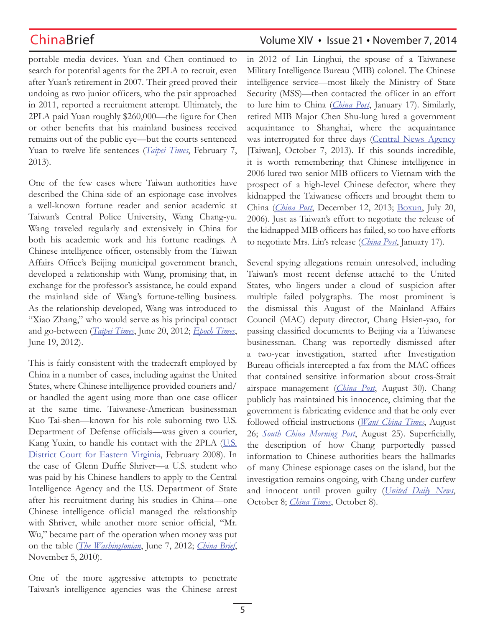portable media devices. Yuan and Chen continued to search for potential agents for the 2PLA to recruit, even after Yuan's retirement in 2007. Their greed proved their undoing as two junior officers, who the pair approached in 2011, reported a recruitment attempt. Ultimately, the 2PLA paid Yuan roughly \$260,000—the figure for Chen or other benefits that his mainland business received remains out of the public eye—but the courts sentenced Yuan to twelve life sentences (*Taipei Times*, February 7, 2013).

One of the few cases where Taiwan authorities have described the China-side of an espionage case involves a well-known fortune reader and senior academic at Taiwan's Central Police University, Wang Chang-yu. Wang traveled regularly and extensively in China for both his academic work and his fortune readings. A Chinese intelligence officer, ostensibly from the Taiwan Affairs Office's Beijing municipal government branch, developed a relationship with Wang, promising that, in exchange for the professor's assistance, he could expand the mainland side of Wang's fortune-telling business. As the relationship developed, Wang was introduced to "Xiao Zhang," who would serve as his principal contact and go-between (*Taipei Times*, June 20, 2012; *Epoch Times*, June 19, 2012).

This is fairly consistent with the tradecraft employed by China in a number of cases, including against the United States, where Chinese intelligence provided couriers and/ or handled the agent using more than one case officer at the same time. Taiwanese-American businessman Kuo Tai-shen—known for his role suborning two U.S. Department of Defense officials—was given a courier, Kang Yuxin, to handle his contact with the 2PLA (U.S. District Court for Eastern Virginia, February 2008). In the case of Glenn Duffie Shriver—a U.S. student who was paid by his Chinese handlers to apply to the Central Intelligence Agency and the U.S. Department of State after his recruitment during his studies in China—one Chinese intelligence official managed the relationship with Shriver, while another more senior official, "Mr. Wu," became part of the operation when money was put on the table (*The Washingtonian*, June 7, 2012; *China Brief*, November 5, 2010).

One of the more aggressive attempts to penetrate Taiwan's intelligence agencies was the Chinese arrest

# ChinaBrief **ChinaBrief** Volume XIV • Issue 21 • November 7, 2014

in 2012 of Lin Linghui, the spouse of a Taiwanese Military Intelligence Bureau (MIB) colonel. The Chinese intelligence service—most likely the Ministry of State Security (MSS)—then contacted the officer in an effort to lure him to China (*China Post*, January 17). Similarly, retired MIB Major Chen Shu-lung lured a government acquaintance to Shanghai, where the acquaintance was interrogated for three days (Central News Agency [Taiwan], October 7, 2013). If this sounds incredible, it is worth remembering that Chinese intelligence in 2006 lured two senior MIB officers to Vietnam with the prospect of a high-level Chinese defector, where they kidnapped the Taiwanese officers and brought them to China (*China Post*, December 12, 2013; Boxun, July 20, 2006). Just as Taiwan's effort to negotiate the release of the kidnapped MIB officers has failed, so too have efforts to negotiate Mrs. Lin's release (*China Post*, January 17).

Several spying allegations remain unresolved, including Taiwan's most recent defense attaché to the United States, who lingers under a cloud of suspicion after multiple failed polygraphs. The most prominent is the dismissal this August of the Mainland Affairs Council (MAC) deputy director, Chang Hsien-yao, for passing classified documents to Beijing via a Taiwanese businessman. Chang was reportedly dismissed after a two-year investigation, started after Investigation Bureau officials intercepted a fax from the MAC offices that contained sensitive information about cross-Strait airspace management (*China Post*, August 30). Chang publicly has maintained his innocence, claiming that the government is fabricating evidence and that he only ever followed official instructions (*Want China Times*, August 26; *South China Morning Post*, August 25). Superficially, the description of how Chang purportedly passed information to Chinese authorities bears the hallmarks of many Chinese espionage cases on the island, but the investigation remains ongoing, with Chang under curfew and innocent until proven guilty (*United Daily News*, October 8; *China Times*, October 8).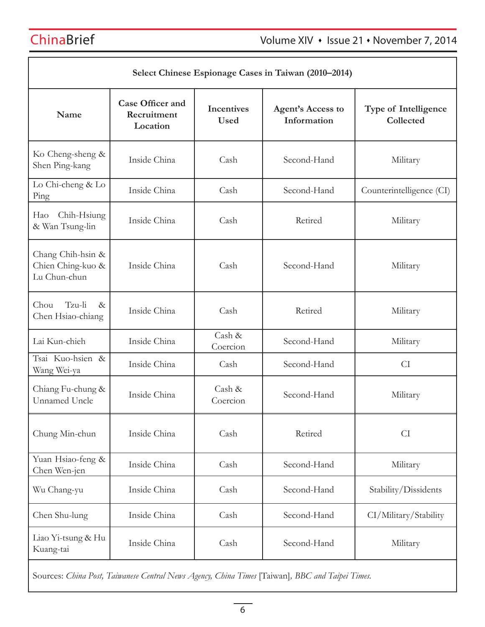| Select Chinese Espionage Cases in Taiwan (2010–2014)   |                                                    |                                  |                                         |                                   |
|--------------------------------------------------------|----------------------------------------------------|----------------------------------|-----------------------------------------|-----------------------------------|
| Name                                                   | <b>Case Officer and</b><br>Recruitment<br>Location | <b>Incentives</b><br><b>Used</b> | <b>Agent's Access to</b><br>Information | Type of Intelligence<br>Collected |
| Ko Cheng-sheng &<br>Shen Ping-kang                     | Inside China                                       | Cash                             | Second-Hand                             | Military                          |
| Lo Chi-cheng & Lo<br>Ping                              | Inside China                                       | Cash                             | Second-Hand                             | Counterintelligence (CI)          |
| Chih-Hsiung<br>Hao<br>& Wan Tsung-lin                  | Inside China                                       | Cash                             | Retired                                 | Military                          |
| Chang Chih-hsin &<br>Chien Ching-kuo &<br>Lu Chun-chun | Inside China                                       | Cash                             | Second-Hand                             | Military                          |
| Tzu-li<br>Chou<br>$\&$<br>Chen Hsiao-chiang            | Inside China                                       | Cash                             | Retired                                 | Military                          |
| Lai Kun-chieh                                          | Inside China                                       | Cash &<br>Coercion               | Second-Hand                             | Military                          |
| Tsai Kuo-hsien &<br>Wang Wei-ya                        | Inside China                                       | Cash                             | Second-Hand                             | <b>CI</b>                         |
| Chiang Fu-chung &<br><b>Unnamed Uncle</b>              | Inside China                                       | Cash &<br>Coercion               | Second-Hand                             | Military                          |
| Chung Min-chun                                         | Inside China                                       | Cash                             | Retired                                 | <b>CI</b>                         |
| Yuan Hsiao-feng &<br>Chen Wen-jen                      | Inside China                                       | Cash                             | Second-Hand                             | Military                          |
| Wu Chang-yu                                            | Inside China                                       | Cash                             | Second-Hand                             | Stability/Dissidents              |
| Chen Shu-lung                                          | Inside China                                       | Cash                             | Second-Hand                             | CI/Military/Stability             |
| Liao Yi-tsung & Hu<br>Kuang-tai                        | Inside China                                       | Cash                             | Second-Hand                             | Military                          |

Sources: *China Post, Taiwanese Central News Agency, China Times* [Taiwan]*, BBC and Taipei Times.*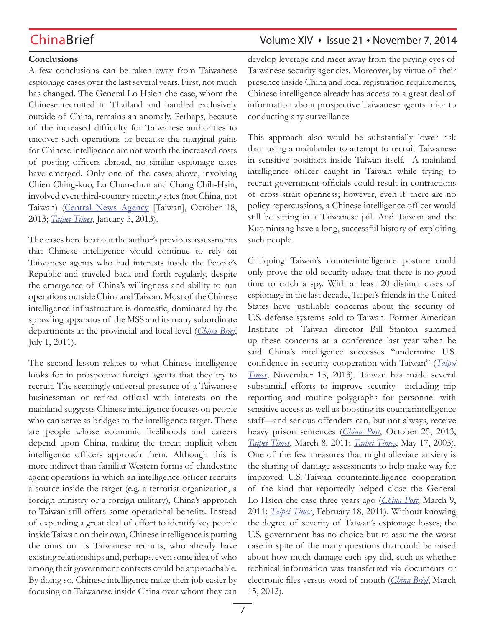# ChinaBrief **ChinaBrief** Volume XIV • Issue 21 • November 7, 2014

### **Conclusions**

A few conclusions can be taken away from Taiwanese espionage cases over the last several years. First, not much has changed. The General Lo Hsien-che case, whom the Chinese recruited in Thailand and handled exclusively outside of China, remains an anomaly. Perhaps, because of the increased difficulty for Taiwanese authorities to uncover such operations or because the marginal gains for Chinese intelligence are not worth the increased costs of posting officers abroad, no similar espionage cases have emerged. Only one of the cases above, involving Chien Ching-kuo, Lu Chun-chun and Chang Chih-Hsin, involved even third-country meeting sites (not China, not Taiwan) (Central News Agency [Taiwan], October 18, 2013; *Taipei Times*, January 5, 2013).

The cases here bear out the author's previous assessments that Chinese intelligence would continue to rely on Taiwanese agents who had interests inside the People's Republic and traveled back and forth regularly, despite the emergence of China's willingness and ability to run operations outside China and Taiwan. Most of the Chinese intelligence infrastructure is domestic, dominated by the sprawling apparatus of the MSS and its many subordinate departments at the provincial and local level (*China Brief*, July 1, 2011).

The second lesson relates to what Chinese intelligence looks for in prospective foreign agents that they try to recruit. The seemingly universal presence of a Taiwanese businessman or retired official with interests on the mainland suggests Chinese intelligence focuses on people who can serve as bridges to the intelligence target. These are people whose economic livelihoods and careers depend upon China, making the threat implicit when intelligence officers approach them. Although this is more indirect than familiar Western forms of clandestine agent operations in which an intelligence officer recruits a source inside the target (e.g. a terrorist organization, a foreign ministry or a foreign military), China's approach to Taiwan still offers some operational benefits. Instead of expending a great deal of effort to identify key people inside Taiwan on their own, Chinese intelligence is putting the onus on its Taiwanese recruits, who already have existing relationships and, perhaps, even some idea of who among their government contacts could be approachable. By doing so, Chinese intelligence make their job easier by focusing on Taiwanese inside China over whom they can

develop leverage and meet away from the prying eyes of Taiwanese security agencies. Moreover, by virtue of their presence inside China and local registration requirements, Chinese intelligence already has access to a great deal of information about prospective Taiwanese agents prior to conducting any surveillance.

This approach also would be substantially lower risk than using a mainlander to attempt to recruit Taiwanese in sensitive positions inside Taiwan itself. A mainland intelligence officer caught in Taiwan while trying to recruit government officials could result in contractions of cross-strait openness; however, even if there are no policy repercussions, a Chinese intelligence officer would still be sitting in a Taiwanese jail. And Taiwan and the Kuomintang have a long, successful history of exploiting such people.

Critiquing Taiwan's counterintelligence posture could only prove the old security adage that there is no good time to catch a spy. With at least 20 distinct cases of espionage in the last decade, Taipei's friends in the United States have justifiable concerns about the security of U.S. defense systems sold to Taiwan. Former American Institute of Taiwan director Bill Stanton summed up these concerns at a conference last year when he said China's intelligence successes "undermine U.S. confidence in security cooperation with Taiwan" (*Taipei Times*, November 15, 2013). Taiwan has made several substantial efforts to improve security—including trip reporting and routine polygraphs for personnel with sensitive access as well as boosting its counterintelligence staff—and serious offenders can, but not always, receive heavy prison sentences (*China Post*, October 25, 2013; *Taipei Times*, March 8, 2011; *Taipei Times*, May 17, 2005). One of the few measures that might alleviate anxiety is the sharing of damage assessments to help make way for improved U.S.-Taiwan counterintelligence cooperation of the kind that reportedly helped close the General Lo Hsien-che case three years ago (*China Post*, March 9, 2011; *Taipei Times*, February 18, 2011). Without knowing the degree of severity of Taiwan's espionage losses, the U.S. government has no choice but to assume the worst case in spite of the many questions that could be raised about how much damage each spy did, such as whether technical information was transferred via documents or electronic files versus word of mouth (*China Brief*, March 15, 2012).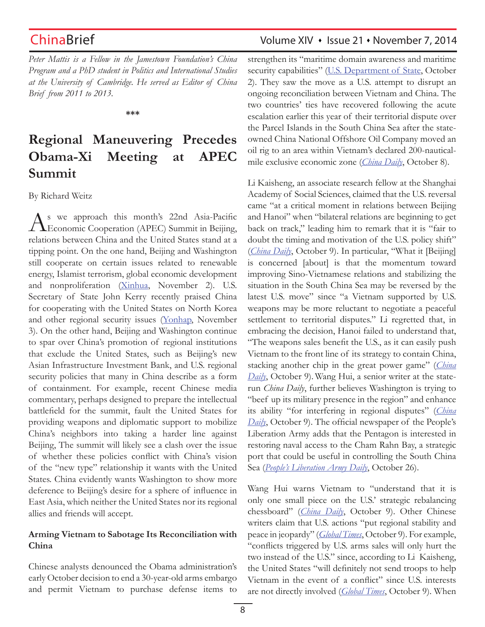*Peter Mattis is a Fellow in the Jamestown Foundation's China Program and a PhD student in Politics and International Studies at the University of Cambridge. He served as Editor of China Brief from 2011 to 2013.*

**\*\*\***

# **Regional Maneuvering Precedes Obama-Xi Meeting at APEC Summit**

By Richard Weitz

As we approach this month's 22nd Asia-Pacific<br>Economic Cooperation (APEC) Summit in Beijing, relations between China and the United States stand at a tipping point. On the one hand, Beijing and Washington still cooperate on certain issues related to renewable energy, Islamist terrorism, global economic development and nonproliferation (Xinhua, November 2). U.S. Secretary of State John Kerry recently praised China for cooperating with the United States on North Korea and other regional security issues (Yonhap, November 3). On the other hand, Beijing and Washington continue to spar over China's promotion of regional institutions that exclude the United States, such as Beijing's new Asian Infrastructure Investment Bank, and U.S. regional security policies that many in China describe as a form of containment. For example, recent Chinese media commentary, perhaps designed to prepare the intellectual battlefield for the summit, fault the United States for providing weapons and diplomatic support to mobilize China's neighbors into taking a harder line against Beijing, The summit will likely see a clash over the issue of whether these policies conflict with China's vision of the "new type" relationship it wants with the United States. China evidently wants Washington to show more deference to Beijing's desire for a sphere of influence in East Asia, which neither the United States nor its regional allies and friends will accept.

## **Arming Vietnam to Sabotage Its Reconciliation with China**

Chinese analysts denounced the Obama administration's early October decision to end a 30-year-old arms embargo and permit Vietnam to purchase defense items to

# ChinaBrief **ChinaBrief** Volume XIV • Issue 21 • November 7, 2014

strengthen its "maritime domain awareness and maritime security capabilities" (U.S. Department of State, October 2). They saw the move as a U.S. attempt to disrupt an ongoing reconciliation between Vietnam and China. The two countries' ties have recovered following the acute escalation earlier this year of their territorial dispute over the Parcel Islands in the South China Sea after the stateowned China National Offshore Oil Company moved an oil rig to an area within Vietnam's declared 200-nauticalmile exclusive economic zone (*China Daily*, October 8).

Li Kaisheng, an associate research fellow at the Shanghai Academy of Social Sciences, claimed that the U.S. reversal came "at a critical moment in relations between Beijing and Hanoi" when "bilateral relations are beginning to get back on track," leading him to remark that it is "fair to doubt the timing and motivation of the U.S. policy shift" (*China Daily*, October 9). In particular, "What it [Beijing] is concerned [about] is that the momentum toward improving Sino-Vietnamese relations and stabilizing the situation in the South China Sea may be reversed by the latest U.S. move" since "a Vietnam supported by U.S. weapons may be more reluctant to negotiate a peaceful settlement to territorial disputes." Li regretted that, in embracing the decision, Hanoi failed to understand that, "The weapons sales benefit the U.S., as it can easily push Vietnam to the front line of its strategy to contain China, stacking another chip in the great power game" (*China Daily*, October 9). Wang Hui, a senior writer at the staterun *China Daily*, further believes Washington is trying to "beef up its military presence in the region" and enhance its ability "for interfering in regional disputes" (*China Daily*, October 9). The official newspaper of the People's Liberation Army adds that the Pentagon is interested in restoring naval access to the Cham Rahn Bay, a strategic port that could be useful in controlling the South China Sea (*People's Liberation Army Daily*, October 26).

Wang Hui warns Vietnam to "understand that it is only one small piece on the U.S.' strategic rebalancing chessboard" (*China Daily*, October 9). Other Chinese writers claim that U.S. actions "put regional stability and peace in jeopardy" (*Global Times*, October 9). For example, "conflicts triggered by U.S. arms sales will only hurt the two instead of the U.S." since, according to Li Kaisheng, the United States "will definitely not send troops to help Vietnam in the event of a conflict" since U.S. interests are not directly involved (*Global Times*, October 9). When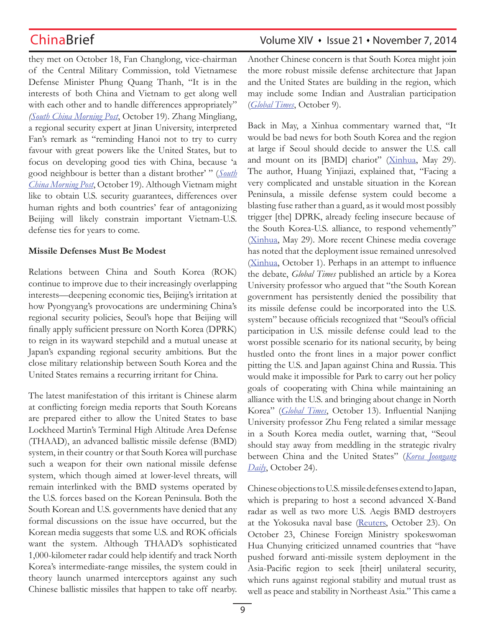they met on October 18, Fan Changlong, vice-chairman of the Central Military Commission, told Vietnamese Defense Minister Phung Quang Thanh, "It is in the interests of both China and Vietnam to get along well with each other and to handle differences appropriately" *(South China Morning Post*, October 19). Zhang Mingliang, a regional security expert at Jinan University, interpreted Fan's remark as "reminding Hanoi not to try to curry favour with great powers like the United States, but to focus on developing good ties with China, because 'a good neighbour is better than a distant brother' " (*South China Morning Post*, October 19). Although Vietnam might like to obtain U.S. security guarantees, differences over human rights and both countries' fear of antagonizing Beijing will likely constrain important Vietnam-U.S. defense ties for years to come.

### **Missile Defenses Must Be Modest**

Relations between China and South Korea (ROK) continue to improve due to their increasingly overlapping interests—deepening economic ties, Beijing's irritation at how Pyongyang's provocations are undermining China's regional security policies, Seoul's hope that Beijing will finally apply sufficient pressure on North Korea (DPRK) to reign in its wayward stepchild and a mutual unease at Japan's expanding regional security ambitions. But the close military relationship between South Korea and the United States remains a recurring irritant for China.

The latest manifestation of this irritant is Chinese alarm at conflicting foreign media reports that South Koreans are prepared either to allow the United States to base Lockheed Martin's Terminal High Altitude Area Defense (THAAD), an advanced ballistic missile defense (BMD) system, in their country or that South Korea will purchase such a weapon for their own national missile defense system, which though aimed at lower-level threats, will remain interlinked with the BMD systems operated by the U.S. forces based on the Korean Peninsula. Both the South Korean and U.S. governments have denied that any formal discussions on the issue have occurred, but the Korean media suggests that some U.S. and ROK officials want the system. Although THAAD's sophisticated 1,000-kilometer radar could help identify and track North Korea's intermediate-range missiles, the system could in theory launch unarmed interceptors against any such Chinese ballistic missiles that happen to take off nearby.

# ChinaBrief **ChinaBrief** Volume XIV • Issue 21 • November 7, 2014

Another Chinese concern is that South Korea might join the more robust missile defense architecture that Japan and the United States are building in the region, which may include some Indian and Australian participation (*Global Times*, October 9).

Back in May, a Xinhua commentary warned that, "It would be bad news for both South Korea and the region at large if Seoul should decide to answer the U.S. call and mount on its [BMD] chariot" (Xinhua, May 29). The author, Huang Yinjiazi, explained that, "Facing a very complicated and unstable situation in the Korean Peninsula, a missile defense system could become a blasting fuse rather than a guard, as it would most possibly trigger [the] DPRK, already feeling insecure because of the South Korea-U.S. alliance, to respond vehemently" (Xinhua, May 29). More recent Chinese media coverage has noted that the deployment issue remained unresolved (Xinhua, October 1). Perhaps in an attempt to influence the debate, *Global Times* published an article by a Korea University professor who argued that "the South Korean government has persistently denied the possibility that its missile defense could be incorporated into the U.S. system" because officials recognized that "Seoul's official participation in U.S. missile defense could lead to the worst possible scenario for its national security, by being hustled onto the front lines in a major power conflict pitting the U.S. and Japan against China and Russia. This would make it impossible for Park to carry out her policy goals of cooperating with China while maintaining an alliance with the U.S. and bringing about change in North Korea" (*Global Times*, October 13). Influential Nanjing University professor Zhu Feng related a similar message in a South Korea media outlet, warning that, "Seoul should stay away from meddling in the strategic rivalry between China and the United States" (*Korea Joongang Daily*, October 24).

Chinese objections to U.S. missile defenses extend to Japan, which is preparing to host a second advanced X-Band radar as well as two more U.S. Aegis BMD destroyers at the Yokosuka naval base (Reuters, October 23). On October 23, Chinese Foreign Ministry spokeswoman Hua Chunying criticized unnamed countries that "have pushed forward anti-missile system deployment in the Asia-Pacific region to seek [their] unilateral security, which runs against regional stability and mutual trust as well as peace and stability in Northeast Asia." This came a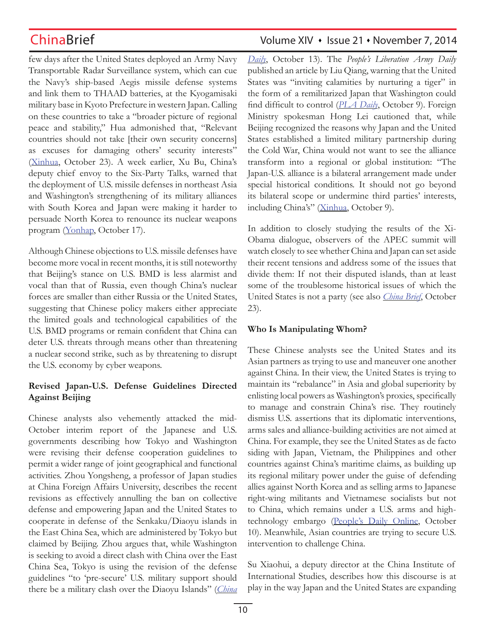few days after the United States deployed an Army Navy Transportable Radar Surveillance system, which can cue the Navy's ship-based Aegis missile defense systems and link them to THAAD batteries, at the Kyogamisaki military base in Kyoto Prefecture in western Japan. Calling on these countries to take a "broader picture of regional peace and stability," Hua admonished that, "Relevant countries should not take [their own security concerns] as excuses for damaging others' security interests" (Xinhua, October 23). A week earlier, Xu Bu, China's deputy chief envoy to the Six-Party Talks, warned that the deployment of U.S. missile defenses in northeast Asia and Washington's strengthening of its military alliances with South Korea and Japan were making it harder to persuade North Korea to renounce its nuclear weapons program (Yonhap, October 17).

Although Chinese objections to U.S. missile defenses have become more vocal in recent months, it is still noteworthy that Beijing's stance on U.S. BMD is less alarmist and vocal than that of Russia, even though China's nuclear forces are smaller than either Russia or the United States, suggesting that Chinese policy makers either appreciate the limited goals and technological capabilities of the U.S. BMD programs or remain confident that China can deter U.S. threats through means other than threatening a nuclear second strike, such as by threatening to disrupt the U.S. economy by cyber weapons.

## **Revised Japan-U.S. Defense Guidelines Directed Against Beijing**

Chinese analysts also vehemently attacked the mid-October interim report of the Japanese and U.S. governments describing how Tokyo and Washington were revising their defense cooperation guidelines to permit a wider range of joint geographical and functional activities. Zhou Yongsheng, a professor of Japan studies at China Foreign Affairs University, describes the recent revisions as effectively annulling the ban on collective defense and empowering Japan and the United States to cooperate in defense of the Senkaku/Diaoyu islands in the East China Sea, which are administered by Tokyo but claimed by Beijing. Zhou argues that, while Washington is seeking to avoid a direct clash with China over the East China Sea, Tokyo is using the revision of the defense guidelines "to 'pre-secure' U.S. military support should there be a military clash over the Diaoyu Islands" (*China* 

# ChinaBrief **ChinaBrief** Volume XIV • Issue 21 • November 7, 2014

*Daily*, October 13). The *People's Liberation Army Daily* published an article by Liu Qiang, warning that the United States was "inviting calamities by nurturing a tiger" in the form of a remilitarized Japan that Washington could find difficult to control (*PLA Daily*, October 9). Foreign Ministry spokesman Hong Lei cautioned that, while Beijing recognized the reasons why Japan and the United States established a limited military partnership during the Cold War, China would not want to see the alliance transform into a regional or global institution: "The Japan-U.S. alliance is a bilateral arrangement made under special historical conditions. It should not go beyond its bilateral scope or undermine third parties' interests, including China's" (Xinhua, October 9).

In addition to closely studying the results of the Xi-Obama dialogue, observers of the APEC summit will watch closely to see whether China and Japan can set aside their recent tensions and address some of the issues that divide them: If not their disputed islands, than at least some of the troublesome historical issues of which the United States is not a party (see also *China Brief*, October 23).

## **Who Is Manipulating Whom?**

These Chinese analysts see the United States and its Asian partners as trying to use and maneuver one another against China. In their view, the United States is trying to maintain its "rebalance" in Asia and global superiority by enlisting local powers as Washington's proxies, specifically to manage and constrain China's rise. They routinely dismiss U.S. assertions that its diplomatic interventions, arms sales and alliance-building activities are not aimed at China. For example, they see the United States as de facto siding with Japan, Vietnam, the Philippines and other countries against China's maritime claims, as building up its regional military power under the guise of defending allies against North Korea and as selling arms to Japanese right-wing militants and Vietnamese socialists but not to China, which remains under a U.S. arms and hightechnology embargo (People's Daily Online, October 10). Meanwhile, Asian countries are trying to secure U.S. intervention to challenge China.

Su Xiaohui, a deputy director at the China Institute of International Studies, describes how this discourse is at play in the way Japan and the United States are expanding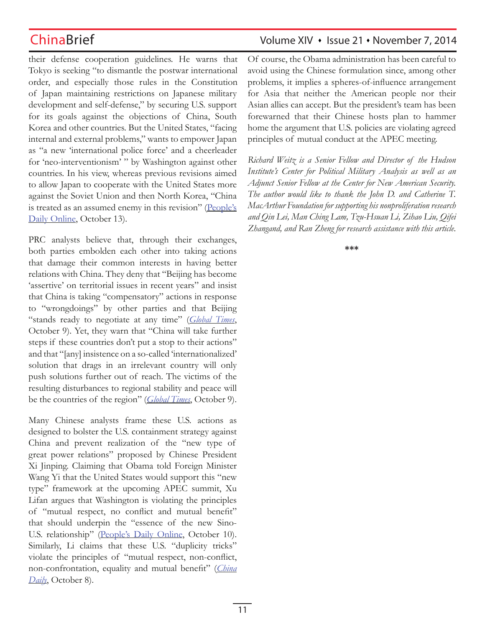their defense cooperation guidelines. He warns that Tokyo is seeking "to dismantle the postwar international order, and especially those rules in the Constitution of Japan maintaining restrictions on Japanese military development and self-defense," by securing U.S. support for its goals against the objections of China, South Korea and other countries. But the United States, "facing internal and external problems," wants to empower Japan as "a new 'international police force' and a cheerleader for 'neo-interventionism' " by Washington against other countries. In his view, whereas previous revisions aimed to allow Japan to cooperate with the United States more against the Soviet Union and then North Korea, "China is treated as an assumed enemy in this revision" (People's Daily Online, October 13).

PRC analysts believe that, through their exchanges, both parties embolden each other into taking actions that damage their common interests in having better relations with China. They deny that "Beijing has become 'assertive' on territorial issues in recent years" and insist that China is taking "compensatory" actions in response to "wrongdoings" by other parties and that Beijing "stands ready to negotiate at any time" (*Global Times*, October 9). Yet, they warn that "China will take further steps if these countries don't put a stop to their actions" and that "[any] insistence on a so-called 'internationalized' solution that drags in an irrelevant country will only push solutions further out of reach. The victims of the resulting disturbances to regional stability and peace will be the countries of the region" (*Global Times*, October 9).

Many Chinese analysts frame these U.S. actions as designed to bolster the U.S. containment strategy against China and prevent realization of the "new type of great power relations" proposed by Chinese President Xi Jinping. Claiming that Obama told Foreign Minister Wang Yi that the United States would support this "new type" framework at the upcoming APEC summit, Xu Lifan argues that Washington is violating the principles of "mutual respect, no conflict and mutual benefit" that should underpin the "essence of the new Sino-U.S. relationship" (People's Daily Online, October 10). Similarly, Li claims that these U.S. "duplicity tricks" violate the principles of "mutual respect, non-conflict, non-confrontation, equality and mutual benefit" (*China Daily*, October 8).

# ChinaBrief **ChinaBrief** Volume XIV • Issue 21 • November 7, 2014

Of course, the Obama administration has been careful to avoid using the Chinese formulation since, among other problems, it implies a spheres-of-influence arrangement for Asia that neither the American people nor their Asian allies can accept. But the president's team has been forewarned that their Chinese hosts plan to hammer home the argument that U.S. policies are violating agreed principles of mutual conduct at the APEC meeting.

*Richard Weitz is a Senior Fellow and Director of the Hudson Institute's Center for Political Military Analysis as well as an Adjunct Senior Fellow at the Center for New American Security. The author would like to thank the John D. and Catherine T. MacArthur Foundation for supporting his nonproliferation research and Qin Lei, Man Ching Lam, Tzu-Hsuan Li, Zihao Liu, Qifei Zhangand, and Ran Zheng for research assistance with this article*.

**\*\*\***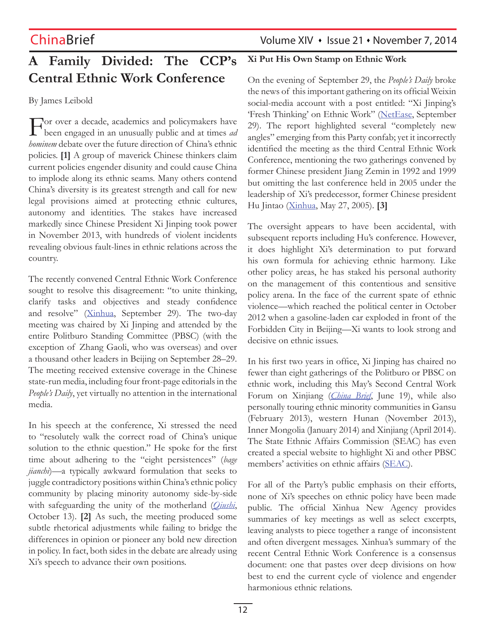# **A Family Divided: The CCP's Central Ethnic Work Conference**

By James Leibold

For over a decade, academics and policymakers have been engaged in an unusually public and at times *ad hominem* debate over the future direction of China's ethnic policies. **[1]** A group of maverick Chinese thinkers claim current policies engender disunity and could cause China to implode along its ethnic seams. Many others contend China's diversity is its greatest strength and call for new legal provisions aimed at protecting ethnic cultures, autonomy and identities. The stakes have increased markedly since Chinese President Xi Jinping took power in November 2013, with hundreds of violent incidents revealing obvious fault-lines in ethnic relations across the country.

The recently convened Central Ethnic Work Conference sought to resolve this disagreement: "to unite thinking, clarify tasks and objectives and steady confidence and resolve" (Xinhua, September 29). The two-day meeting was chaired by Xi Jinping and attended by the entire Politburo Standing Committee (PBSC) (with the exception of Zhang Gaoli, who was overseas) and over a thousand other leaders in Beijing on September 28–29. The meeting received extensive coverage in the Chinese state-run media, including four front-page editorials in the *People's Daily*, yet virtually no attention in the international media.

In his speech at the conference, Xi stressed the need to "resolutely walk the correct road of China's unique solution to the ethnic question." He spoke for the first time about adhering to the "eight persistences" (*bage jianchi*)—a typically awkward formulation that seeks to juggle contradictory positions within China's ethnic policy community by placing minority autonomy side-by-side with safeguarding the unity of the motherland (*Qiushi*, October 13). **[2]** As such, the meeting produced some subtle rhetorical adjustments while failing to bridge the differences in opinion or pioneer any bold new direction in policy. In fact, both sides in the debate are already using Xi's speech to advance their own positions.

## **Xi Put His Own Stamp on Ethnic Work**

On the evening of September 29, the *People's Daily* broke the news of this important gathering on its official Weixin social-media account with a post entitled: "Xi Jinping's 'Fresh Thinking' on Ethnic Work" (NetEase, September 29). The report highlighted several "completely new angles" emerging from this Party confab; yet it incorrectly identified the meeting as the third Central Ethnic Work Conference, mentioning the two gatherings convened by former Chinese president Jiang Zemin in 1992 and 1999 but omitting the last conference held in 2005 under the leadership of Xi's predecessor, former Chinese president Hu Jintao (Xinhua, May 27, 2005). **[3]**

The oversight appears to have been accidental, with subsequent reports including Hu's conference. However, it does highlight Xi's determination to put forward his own formula for achieving ethnic harmony. Like other policy areas, he has staked his personal authority on the management of this contentious and sensitive policy arena. In the face of the current spate of ethnic violence—which reached the political center in October 2012 when a gasoline-laden car exploded in front of the Forbidden City in Beijing—Xi wants to look strong and decisive on ethnic issues.

In his first two years in office, Xi Jinping has chaired no fewer than eight gatherings of the Politburo or PBSC on ethnic work, including this May's Second Central Work Forum on Xinjiang (*China Brief*, June 19), while also personally touring ethnic minority communities in Gansu (February 2013), western Hunan (November 2013), Inner Mongolia (January 2014) and Xinjiang (April 2014). The State Ethnic Affairs Commission (SEAC) has even created a special website to highlight Xi and other PBSC members' activities on ethnic affairs (SEAC).

For all of the Party's public emphasis on their efforts, none of Xi's speeches on ethnic policy have been made public. The official Xinhua New Agency provides summaries of key meetings as well as select excerpts, leaving analysts to piece together a range of inconsistent and often divergent messages. Xinhua's summary of the recent Central Ethnic Work Conference is a consensus document: one that pastes over deep divisions on how best to end the current cycle of violence and engender harmonious ethnic relations.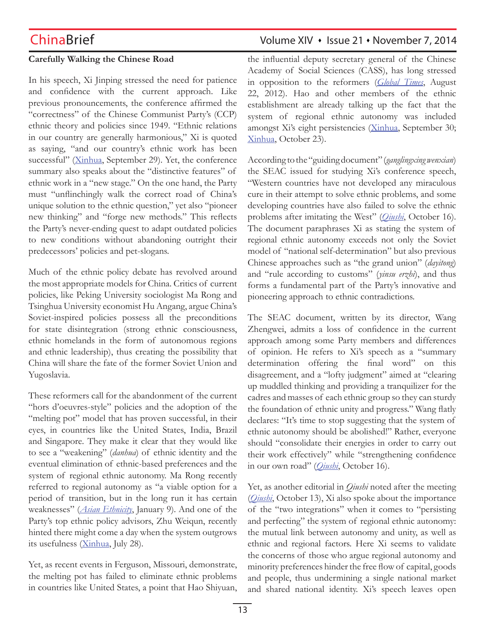## **Carefully Walking the Chinese Road**

In his speech, Xi Jinping stressed the need for patience and confidence with the current approach. Like previous pronouncements, the conference affirmed the "correctness" of the Chinese Communist Party's (CCP) ethnic theory and policies since 1949. "Ethnic relations in our country are generally harmonious," Xi is quoted as saying, "and our country's ethnic work has been successful" (Xinhua, September 29). Yet, the conference summary also speaks about the "distinctive features" of ethnic work in a "new stage." On the one hand, the Party must "unflinchingly walk the correct road of China's unique solution to the ethnic question," yet also "pioneer new thinking" and "forge new methods." This reflects the Party's never-ending quest to adapt outdated policies to new conditions without abandoning outright their predecessors' policies and pet-slogans.

Much of the ethnic policy debate has revolved around the most appropriate models for China. Critics of current policies, like Peking University sociologist Ma Rong and Tsinghua University economist Hu Angang, argue China's Soviet-inspired policies possess all the preconditions for state disintegration (strong ethnic consciousness, ethnic homelands in the form of autonomous regions and ethnic leadership), thus creating the possibility that China will share the fate of the former Soviet Union and Yugoslavia.

These reformers call for the abandonment of the current "hors d'oeuvres-style" policies and the adoption of the "melting pot" model that has proven successful, in their eyes, in countries like the United States, India, Brazil and Singapore. They make it clear that they would like to see a "weakening" (*danhua*) of ethnic identity and the eventual elimination of ethnic-based preferences and the system of regional ethnic autonomy. Ma Rong recently referred to regional autonomy as "a viable option for a period of transition, but in the long run it has certain weaknesses" (*Asian Ethnicity*, January 9). And one of the Party's top ethnic policy advisors, Zhu Weiqun, recently hinted there might come a day when the system outgrows its usefulness (Xinhua, July 28).

Yet, as recent events in Ferguson, Missouri, demonstrate, the melting pot has failed to eliminate ethnic problems in countries like United States, a point that Hao Shiyuan,

# ChinaBrief ChinaBrief Volume XIV • Issue 21 • November 7, 2014

the influential deputy secretary general of the Chinese Academy of Social Sciences (CASS), has long stressed in opposition to the reformers (*Global Times*, August 22, 2012). Hao and other members of the ethnic establishment are already talking up the fact that the system of regional ethnic autonomy was included amongst Xi's eight persistencies (Xinhua, September 30; Xinhua, October 23).

According to the "guiding document" (*ganglingxing wenxian*) the SEAC issued for studying Xi's conference speech, "Western countries have not developed any miraculous cure in their attempt to solve ethnic problems, and some developing countries have also failed to solve the ethnic problems after imitating the West" (*Qiushi*, October 16). The document paraphrases Xi as stating the system of regional ethnic autonomy exceeds not only the Soviet model of "national self-determination" but also previous Chinese approaches such as "the grand union" (*dayitong*) and "rule according to customs" (*yinsu erzhi*), and thus forms a fundamental part of the Party's innovative and pioneering approach to ethnic contradictions.

The SEAC document, written by its director, Wang Zhengwei, admits a loss of confidence in the current approach among some Party members and differences of opinion. He refers to Xi's speech as a "summary determination offering the final word" on this disagreement, and a "lofty judgment" aimed at "clearing up muddled thinking and providing a tranquilizer for the cadres and masses of each ethnic group so they can sturdy the foundation of ethnic unity and progress." Wang flatly declares: "It's time to stop suggesting that the system of ethnic autonomy should be abolished!" Rather, everyone should "consolidate their energies in order to carry out their work effectively" while "strengthening confidence in our own road" (*Qiushi*, October 16).

Yet, as another editorial in *Qiushi* noted after the meeting (*Qiushi*, October 13), Xi also spoke about the importance of the "two integrations" when it comes to "persisting and perfecting" the system of regional ethnic autonomy: the mutual link between autonomy and unity, as well as ethnic and regional factors. Here Xi seems to validate the concerns of those who argue regional autonomy and minority preferences hinder the free flow of capital, goods and people, thus undermining a single national market and shared national identity. Xi's speech leaves open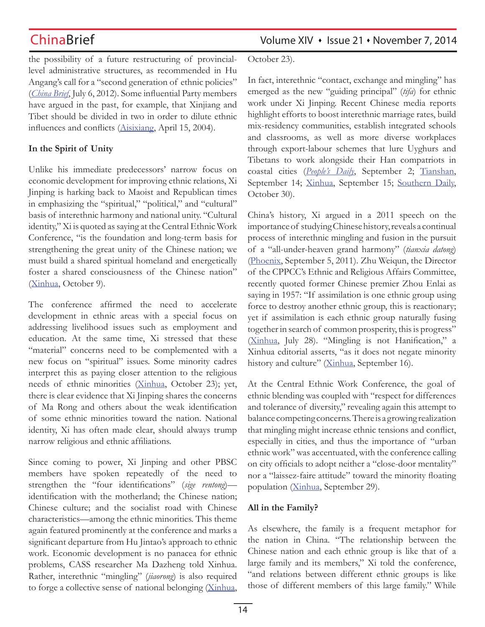the possibility of a future restructuring of provinciallevel administrative structures, as recommended in Hu Angang's call for a "second generation of ethnic policies" (*China Brief*, July 6, 2012). Some influential Party members have argued in the past, for example, that Xinjiang and Tibet should be divided in two in order to dilute ethnic influences and conflicts (Aisixiang, April 15, 2004).

## **In the Spirit of Unity**

Unlike his immediate predecessors' narrow focus on economic development for improving ethnic relations, Xi Jinping is harking back to Maoist and Republican times in emphasizing the "spiritual," "political," and "cultural" basis of interethnic harmony and national unity. "Cultural identity," Xi is quoted as saying at the Central Ethnic Work Conference, "is the foundation and long-term basis for strengthening the great unity of the Chinese nation; we must build a shared spiritual homeland and energetically foster a shared consciousness of the Chinese nation" (Xinhua, October 9).

The conference affirmed the need to accelerate development in ethnic areas with a special focus on addressing livelihood issues such as employment and education. At the same time, Xi stressed that these "material" concerns need to be complemented with a new focus on "spiritual" issues. Some minority cadres interpret this as paying closer attention to the religious needs of ethnic minorities (Xinhua, October 23); yet, there is clear evidence that Xi Jinping shares the concerns of Ma Rong and others about the weak identification of some ethnic minorities toward the nation. National identity, Xi has often made clear, should always trump narrow religious and ethnic affiliations.

Since coming to power, Xi Jinping and other PBSC members have spoken repeatedly of the need to strengthen the "four identifications" (*sige rentong*) identification with the motherland; the Chinese nation; Chinese culture; and the socialist road with Chinese characteristics—among the ethnic minorities. This theme again featured prominently at the conference and marks a significant departure from Hu Jintao's approach to ethnic work. Economic development is no panacea for ethnic problems, CASS researcher Ma Dazheng told Xinhua. Rather, interethnic "mingling" (*jiaorong*) is also required to forge a collective sense of national belonging (Xinhua,

ChinaBrief **ChinaBrief** Volume XIV • Issue 21 • November 7, 2014

October 23).

In fact, interethnic "contact, exchange and mingling" has emerged as the new "guiding principal" (*tifa*) for ethnic work under Xi Jinping. Recent Chinese media reports highlight efforts to boost interethnic marriage rates, build mix-residency communities, establish integrated schools and classrooms, as well as more diverse workplaces through export-labour schemes that lure Uyghurs and Tibetans to work alongside their Han compatriots in coastal cities (*People's Daily*, September 2; Tianshan, September 14; Xinhua, September 15; Southern Daily, October 30).

China's history, Xi argued in a 2011 speech on the importance of studying Chinese history, reveals a continual process of interethnic mingling and fusion in the pursuit of a "all-under-heaven grand harmony" (*tianxia datong*) (Phoenix, September 5, 2011). Zhu Weiqun, the Director of the CPPCC's Ethnic and Religious Affairs Committee, recently quoted former Chinese premier Zhou Enlai as saying in 1957: "If assimilation is one ethnic group using force to destroy another ethnic group, this is reactionary; yet if assimilation is each ethnic group naturally fusing together in search of common prosperity, this is progress" (Xinhua, July 28). "Mingling is not Hanification," a Xinhua editorial asserts, "as it does not negate minority history and culture" (Xinhua, September 16).

At the Central Ethnic Work Conference, the goal of ethnic blending was coupled with "respect for differences and tolerance of diversity," revealing again this attempt to balance competing concerns. There is a growing realization that mingling might increase ethnic tensions and conflict, especially in cities, and thus the importance of "urban ethnic work" was accentuated, with the conference calling on city officials to adopt neither a "close-door mentality" nor a "laissez-faire attitude" toward the minority floating population (Xinhua, September 29).

## **All in the Family?**

As elsewhere, the family is a frequent metaphor for the nation in China. "The relationship between the Chinese nation and each ethnic group is like that of a large family and its members," Xi told the conference, "and relations between different ethnic groups is like those of different members of this large family." While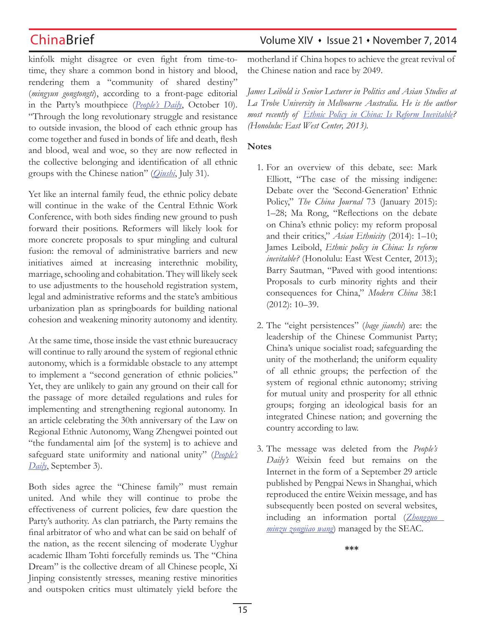kinfolk might disagree or even fight from time-totime, they share a common bond in history and blood, rendering them a "community of shared destiny" (*mingyun gongtongti*), according to a front-page editorial in the Party's mouthpiece (*People's Daily*, October 10). "Through the long revolutionary struggle and resistance to outside invasion, the blood of each ethnic group has come together and fused in bonds of life and death, flesh and blood, weal and woe, so they are now reflected in the collective belonging and identification of all ethnic groups with the Chinese nation" (*Qiushi*, July 31).

Yet like an internal family feud, the ethnic policy debate will continue in the wake of the Central Ethnic Work Conference, with both sides finding new ground to push forward their positions. Reformers will likely look for more concrete proposals to spur mingling and cultural fusion: the removal of administrative barriers and new initiatives aimed at increasing interethnic mobility, marriage, schooling and cohabitation. They will likely seek to use adjustments to the household registration system, legal and administrative reforms and the state's ambitious urbanization plan as springboards for building national cohesion and weakening minority autonomy and identity.

At the same time, those inside the vast ethnic bureaucracy will continue to rally around the system of regional ethnic autonomy, which is a formidable obstacle to any attempt to implement a "second generation of ethnic policies." Yet, they are unlikely to gain any ground on their call for the passage of more detailed regulations and rules for implementing and strengthening regional autonomy. In an article celebrating the 30th anniversary of the Law on Regional Ethnic Autonomy, Wang Zhengwei pointed out "the fundamental aim [of the system] is to achieve and safeguard state uniformity and national unity" (*People's Daily*, September 3).

Both sides agree the "Chinese family" must remain united. And while they will continue to probe the effectiveness of current policies, few dare question the Party's authority. As clan patriarch, the Party remains the final arbitrator of who and what can be said on behalf of the nation, as the recent silencing of moderate Uyghur academic Ilham Tohti forcefully reminds us. The "China Dream" is the collective dream of all Chinese people, Xi Jinping consistently stresses, meaning restive minorities and outspoken critics must ultimately yield before the

ChinaBrief ChinaBrief Volume XIV • Issue 21 • November 7, 2014

motherland if China hopes to achieve the great revival of the Chinese nation and race by 2049.

*James Leibold is Senior Lecturer in Politics and Asian Studies at La Trobe University in Melbourne Australia. He is the author most recently of Ethnic Policy in China: Is Reform Inevitable? (Honolulu: East West Center, 2013).*

## **Notes**

- 1. For an overview of this debate, see: Mark Elliott, "The case of the missing indigene: Debate over the 'Second-Generation' Ethnic Policy," *The China Journal* 73 (January 2015): 1–28; Ma Rong, "Reflections on the debate on China's ethnic policy: my reform proposal and their critics," *Asian Ethnicity* (2014): 1–10; James Leibold, *Ethnic policy in China: Is reform inevitable?* (Honolulu: East West Center, 2013); Barry Sautman, "Paved with good intentions: Proposals to curb minority rights and their consequences for China," *Modern China* 38:1 (2012): 10–39.
- 2. The "eight persistences" (*bage jianchi*) are: the leadership of the Chinese Communist Party; China's unique socialist road; safeguarding the unity of the motherland; the uniform equality of all ethnic groups; the perfection of the system of regional ethnic autonomy; striving for mutual unity and prosperity for all ethnic groups; forging an ideological basis for an integrated Chinese nation; and governing the country according to law.
- 3. The message was deleted from the *People's Daily's* Weixin feed but remains on the Internet in the form of a September 29 article published by Pengpai News in Shanghai, which reproduced the entire Weixin message, and has subsequently been posted on several websites, including an information portal (*Zhongguo minzu zongjiao wang*) managed by the SEAC.

**\*\*\***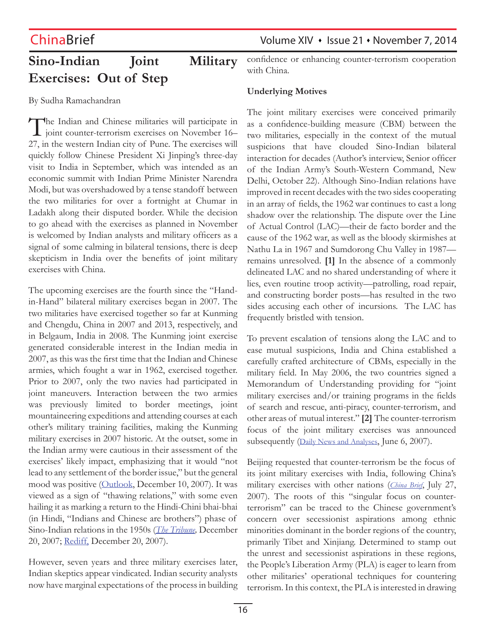# **Sino-Indian Joint Military Exercises: Out of Step**

By Sudha Ramachandran

The Indian and Chinese militaries will participate in 1 joint counter-terrorism exercises on November 16– 27, in the western Indian city of Pune. The exercises will quickly follow Chinese President Xi Jinping's three-day visit to India in September, which was intended as an economic summit with Indian Prime Minister Narendra Modi, but was overshadowed by a tense standoff between the two militaries for over a fortnight at Chumar in Ladakh along their disputed border. While the decision to go ahead with the exercises as planned in November is welcomed by Indian analysts and military officers as a signal of some calming in bilateral tensions, there is deep skepticism in India over the benefits of joint military exercises with China.

The upcoming exercises are the fourth since the "Handin-Hand" bilateral military exercises began in 2007. The two militaries have exercised together so far at Kunming and Chengdu, China in 2007 and 2013, respectively, and in Belgaum, India in 2008. The Kunming joint exercise generated considerable interest in the Indian media in 2007, as this was the first time that the Indian and Chinese armies, which fought a war in 1962, exercised together. Prior to 2007, only the two navies had participated in joint maneuvers. Interaction between the two armies was previously limited to border meetings, joint mountaineering expeditions and attending courses at each other's military training facilities, making the Kunming military exercises in 2007 historic. At the outset, some in the Indian army were cautious in their assessment of the exercises' likely impact, emphasizing that it would "not lead to any settlement of the border issue," but the general mood was positive (Outlook, December 10, 2007). It was viewed as a sign of "thawing relations," with some even hailing it as marking a return to the Hindi-Chini bhai-bhai (in Hindi, "Indians and Chinese are brothers") phase of Sino-Indian relations in the 1950s (*The Tribune,* December 20, 2007; Rediff, December 20, 2007).

However, seven years and three military exercises later, Indian skeptics appear vindicated. Indian security analysts now have marginal expectations of the process in building

ChinaBrief **ChinaBrief** Volume XIV • Issue 21 • November 7, 2014

confidence or enhancing counter-terrorism cooperation with China.

## **Underlying Motives**

The joint military exercises were conceived primarily as a confidence-building measure (CBM) between the two militaries, especially in the context of the mutual suspicions that have clouded Sino-Indian bilateral interaction for decades (Author's interview, Senior officer of the Indian Army's South-Western Command, New Delhi, October 22). Although Sino-Indian relations have improved in recent decades with the two sides cooperating in an array of fields, the 1962 war continues to cast a long shadow over the relationship. The dispute over the Line of Actual Control (LAC)—their de facto border and the cause of the 1962 war, as well as the bloody skirmishes at Nathu La in 1967 and Sumdorong Chu Valley in 1987 remains unresolved. **[1]** In the absence of a commonly delineated LAC and no shared understanding of where it lies, even routine troop activity—patrolling, road repair, and constructing border posts—has resulted in the two sides accusing each other of incursions. The LAC has frequently bristled with tension.

To prevent escalation of tensions along the LAC and to ease mutual suspicions, India and China established a carefully crafted architecture of CBMs, especially in the military field. In May 2006, the two countries signed a Memorandum of Understanding providing for "joint military exercises and/or training programs in the fields of search and rescue, anti-piracy, counter-terrorism, and other areas of mutual interest." **[2]** The counter-terrorism focus of the joint military exercises was announced subsequently (Daily News and Analyses, June 6, 2007).

Beijing requested that counter-terrorism be the focus of its joint military exercises with India, following China's military exercises with other nations (*China Brief*, July 27, 2007). The roots of this "singular focus on counterterrorism" can be traced to the Chinese government's concern over secessionist aspirations among ethnic minorities dominant in the border regions of the country, primarily Tibet and Xinjiang. Determined to stamp out the unrest and secessionist aspirations in these regions, the People's Liberation Army (PLA) is eager to learn from other militaries' operational techniques for countering terrorism. In this context, the PLA is interested in drawing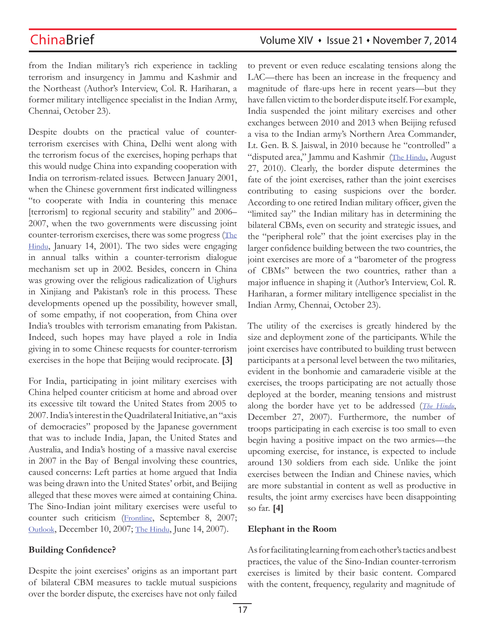from the Indian military's rich experience in tackling terrorism and insurgency in Jammu and Kashmir and the Northeast (Author's Interview, Col. R. Hariharan, a former military intelligence specialist in the Indian Army, Chennai, October 23).

Despite doubts on the practical value of counterterrorism exercises with China, Delhi went along with the terrorism focus of the exercises, hoping perhaps that this would nudge China into expanding cooperation with India on terrorism-related issues. Between January 2001, when the Chinese government first indicated willingness "to cooperate with India in countering this menace [terrorism] to regional security and stability" and 2006– 2007, when the two governments were discussing joint counter-terrorism exercises, there was some progress (The Hindu, January 14, 2001). The two sides were engaging in annual talks within a counter-terrorism dialogue mechanism set up in 2002. Besides, concern in China was growing over the religious radicalization of Uighurs in Xinjiang and Pakistan's role in this process. These developments opened up the possibility, however small, of some empathy, if not cooperation, from China over India's troubles with terrorism emanating from Pakistan. Indeed, such hopes may have played a role in India giving in to some Chinese requests for counter-terrorism exercises in the hope that Beijing would reciprocate. **[3]**

For India, participating in joint military exercises with China helped counter criticism at home and abroad over its excessive tilt toward the United States from 2005 to 2007. India's interest in the Quadrilateral Initiative, an "axis of democracies" proposed by the Japanese government that was to include India, Japan, the United States and Australia, and India's hosting of a massive naval exercise in 2007 in the Bay of Bengal involving these countries, caused concerns: Left parties at home argued that India was being drawn into the United States' orbit, and Beijing alleged that these moves were aimed at containing China. The Sino-Indian joint military exercises were useful to counter such criticism (Frontline, September 8, 2007; Outlook, December 10, 2007; The Hindu, June 14, 2007).

## **Building Confidence?**

Despite the joint exercises' origins as an important part of bilateral CBM measures to tackle mutual suspicions over the border dispute, the exercises have not only failed to prevent or even reduce escalating tensions along the LAC—there has been an increase in the frequency and magnitude of flare-ups here in recent years—but they have fallen victim to the border dispute itself. For example, India suspended the joint military exercises and other exchanges between 2010 and 2013 when Beijing refused a visa to the Indian army's Northern Area Commander, Lt. Gen. B. S. Jaiswal, in 2010 because he "controlled" a "disputed area," Jammu and Kashmir (The Hindu, August 27, 2010). Clearly, the border dispute determines the fate of the joint exercises, rather than the joint exercises contributing to easing suspicions over the border. According to one retired Indian military officer, given the "limited say" the Indian military has in determining the bilateral CBMs, even on security and strategic issues, and the "peripheral role" that the joint exercises play in the larger confidence building between the two countries, the joint exercises are more of a "barometer of the progress of CBMs" between the two countries, rather than a major influence in shaping it (Author's Interview, Col. R. Hariharan, a former military intelligence specialist in the Indian Army, Chennai, October 23).

The utility of the exercises is greatly hindered by the size and deployment zone of the participants. While the joint exercises have contributed to building trust between participants at a personal level between the two militaries, evident in the bonhomie and camaraderie visible at the exercises, the troops participating are not actually those deployed at the border, meaning tensions and mistrust along the border have yet to be addressed (*The Hindu*, December 27, 2007). Furthermore, the number of troops participating in each exercise is too small to even begin having a positive impact on the two armies—the upcoming exercise, for instance, is expected to include around 130 soldiers from each side. Unlike the joint exercises between the Indian and Chinese navies, which are more substantial in content as well as productive in results, the joint army exercises have been disappointing so far. **[4]**

## **Elephant in the Room**

As for facilitating learning from each other's tactics and best practices, the value of the Sino-Indian counter-terrorism exercises is limited by their basic content. Compared with the content, frequency, regularity and magnitude of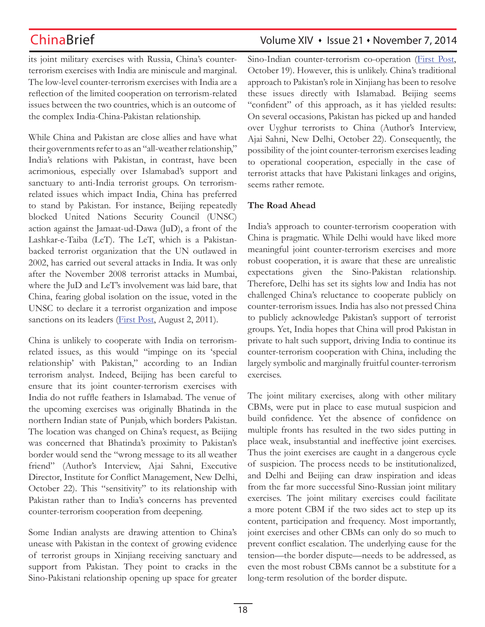its joint military exercises with Russia, China's counterterrorism exercises with India are miniscule and marginal. The low-level counter-terrorism exercises with India are a reflection of the limited cooperation on terrorism-related issues between the two countries, which is an outcome of the complex India-China-Pakistan relationship.

While China and Pakistan are close allies and have what their governments refer to as an "all-weather relationship," India's relations with Pakistan, in contrast, have been acrimonious, especially over Islamabad's support and sanctuary to anti-India terrorist groups. On terrorismrelated issues which impact India, China has preferred to stand by Pakistan. For instance, Beijing repeatedly blocked United Nations Security Council (UNSC) action against the Jamaat-ud-Dawa (JuD), a front of the Lashkar-e-Taiba (LeT). The LeT, which is a Pakistanbacked terrorist organization that the UN outlawed in 2002, has carried out several attacks in India. It was only after the November 2008 terrorist attacks in Mumbai, where the JuD and LeT's involvement was laid bare, that China, fearing global isolation on the issue, voted in the UNSC to declare it a terrorist organization and impose sanctions on its leaders (*First Post*, August 2, 2011).

China is unlikely to cooperate with India on terrorismrelated issues, as this would "impinge on its 'special relationship' with Pakistan," according to an Indian terrorism analyst. Indeed, Beijing has been careful to ensure that its joint counter-terrorism exercises with India do not ruffle feathers in Islamabad. The venue of the upcoming exercises was originally Bhatinda in the northern Indian state of Punjab, which borders Pakistan. The location was changed on China's request, as Beijing was concerned that Bhatinda's proximity to Pakistan's border would send the "wrong message to its all weather friend" (Author's Interview, Ajai Sahni, Executive Director, Institute for Conflict Management, New Delhi, October 22). This "sensitivity" to its relationship with Pakistan rather than to India's concerns has prevented counter-terrorism cooperation from deepening.

Some Indian analysts are drawing attention to China's unease with Pakistan in the context of growing evidence of terrorist groups in Xinjiang receiving sanctuary and support from Pakistan. They point to cracks in the Sino-Pakistani relationship opening up space for greater

# ChinaBrief **ChinaBrief** Volume XIV • Issue 21 • November 7, 2014

Sino-Indian counter-terrorism co-operation (First Post, October 19). However, this is unlikely. China's traditional approach to Pakistan's role in Xinjiang has been to resolve these issues directly with Islamabad. Beijing seems "confident" of this approach, as it has yielded results: On several occasions, Pakistan has picked up and handed over Uyghur terrorists to China (Author's Interview, Ajai Sahni, New Delhi, October 22). Consequently, the possibility of the joint counter-terrorism exercises leading to operational cooperation, especially in the case of terrorist attacks that have Pakistani linkages and origins, seems rather remote.

## **The Road Ahead**

India's approach to counter-terrorism cooperation with China is pragmatic. While Delhi would have liked more meaningful joint counter-terrorism exercises and more robust cooperation, it is aware that these are unrealistic expectations given the Sino-Pakistan relationship. Therefore, Delhi has set its sights low and India has not challenged China's reluctance to cooperate publicly on counter-terrorism issues. India has also not pressed China to publicly acknowledge Pakistan's support of terrorist groups. Yet, India hopes that China will prod Pakistan in private to halt such support, driving India to continue its counter-terrorism cooperation with China, including the largely symbolic and marginally fruitful counter-terrorism exercises.

The joint military exercises, along with other military CBMs, were put in place to ease mutual suspicion and build confidence. Yet the absence of confidence on multiple fronts has resulted in the two sides putting in place weak, insubstantial and ineffective joint exercises. Thus the joint exercises are caught in a dangerous cycle of suspicion. The process needs to be institutionalized, and Delhi and Beijing can draw inspiration and ideas from the far more successful Sino-Russian joint military exercises. The joint military exercises could facilitate a more potent CBM if the two sides act to step up its content, participation and frequency. Most importantly, joint exercises and other CBMs can only do so much to prevent conflict escalation. The underlying cause for the tension—the border dispute—needs to be addressed, as even the most robust CBMs cannot be a substitute for a long-term resolution of the border dispute.